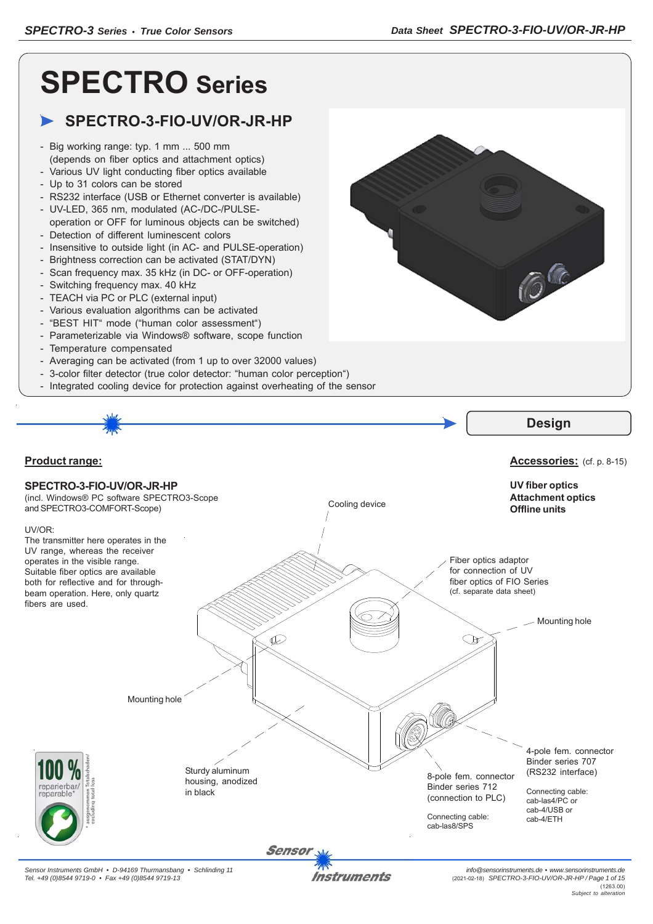66

# **SPECTRO Series**

## **SPECTRO-3-FIO-UV/OR-JR-HP**

- Big working range: typ. 1 mm ... 500 mm (depends on fiber optics and attachment optics)
- Various UV light conducting fiber optics available
- Up to 31 colors can be stored
- RS232 interface (USB or Ethernet converter is available)
- UV-LED, 365 nm, modulated (AC-/DC-/PULSEoperation or OFF for luminous objects can be switched)
- Detection of different luminescent colors
- Insensitive to outside light (in AC- and PULSE-operation)
- Brightness correction can be activated (STAT/DYN)
- Scan frequency max. 35 kHz (in DC- or OFF-operation)
- Switching frequency max. 40 kHz
- TEACH via PC or PLC (external input)
- Various evaluation algorithms can be activated
- "BEST HIT" mode ("human color assessment")
- Parameterizable via Windows® software, scope function
- Temperature compensated
- Averaging can be activated (from 1 up to over 32000 values)
- 3-color filter detector (true color detector: "human color perception")
- Integrated cooling device for protection against overheating of the sensor





Instruments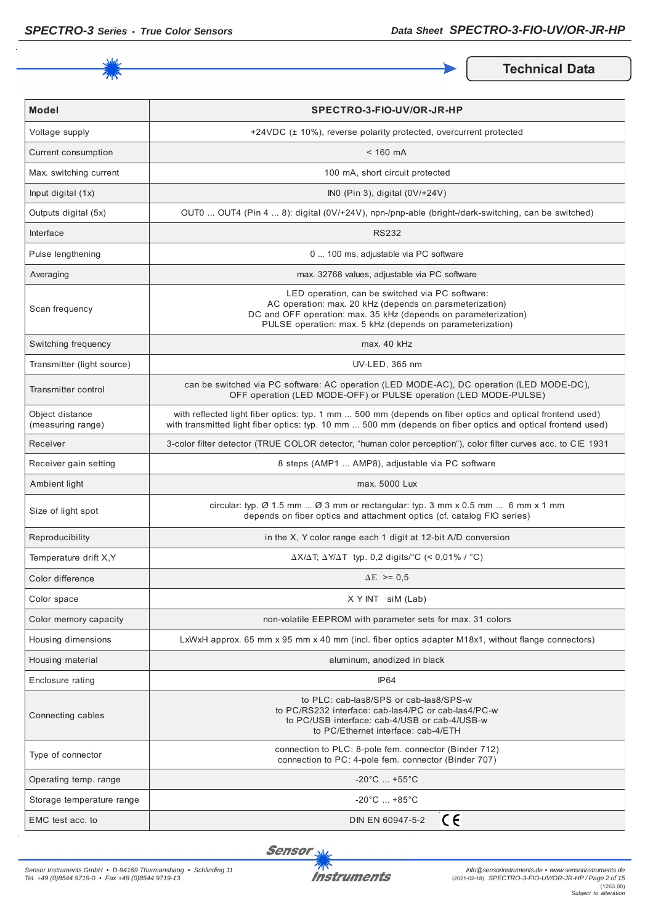

**Technical Data** 

| <b>Model</b>                         | SPECTRO-3-FIO-UV/OR-JR-HP                                                                                                                                                                                                                  |  |  |  |  |
|--------------------------------------|--------------------------------------------------------------------------------------------------------------------------------------------------------------------------------------------------------------------------------------------|--|--|--|--|
| Voltage supply                       | +24VDC (± 10%), reverse polarity protected, overcurrent protected                                                                                                                                                                          |  |  |  |  |
| Current consumption                  | $< 160$ mA                                                                                                                                                                                                                                 |  |  |  |  |
| Max. switching current               | 100 mA, short circuit protected                                                                                                                                                                                                            |  |  |  |  |
| Input digital (1x)                   | INO (Pin 3), digital (0V/+24V)                                                                                                                                                                                                             |  |  |  |  |
| Outputs digital (5x)                 | OUT0  OUT4 (Pin 4  8): digital (0V/+24V), npn-/pnp-able (bright-/dark-switching, can be switched)                                                                                                                                          |  |  |  |  |
| Interface                            | <b>RS232</b>                                                                                                                                                                                                                               |  |  |  |  |
| Pulse lengthening                    | 0  100 ms, adjustable via PC software                                                                                                                                                                                                      |  |  |  |  |
| Averaging                            | max. 32768 values, adjustable via PC software                                                                                                                                                                                              |  |  |  |  |
| Scan frequency                       | LED operation, can be switched via PC software:<br>AC operation: max. 20 kHz (depends on parameterization)<br>DC and OFF operation: max. 35 kHz (depends on parameterization)<br>PULSE operation: max. 5 kHz (depends on parameterization) |  |  |  |  |
| Switching frequency                  | max. 40 kHz                                                                                                                                                                                                                                |  |  |  |  |
| Transmitter (light source)           | UV-LED, 365 nm                                                                                                                                                                                                                             |  |  |  |  |
| Transmitter control                  | can be switched via PC software: AC operation (LED MODE-AC), DC operation (LED MODE-DC),<br>OFF operation (LED MODE-OFF) or PULSE operation (LED MODE-PULSE)                                                                               |  |  |  |  |
| Object distance<br>(measuring range) | with reflected light fiber optics: typ. 1 mm  500 mm (depends on fiber optics and optical frontend used)<br>with transmitted light fiber optics: typ. 10 mm  500 mm (depends on fiber optics and optical frontend used)                    |  |  |  |  |
| Receiver                             | 3-color filter detector (TRUE COLOR detector, "human color perception"), color filter curves acc. to CIE 1931                                                                                                                              |  |  |  |  |
| Receiver gain setting                | 8 steps (AMP1  AMP8), adjustable via PC software                                                                                                                                                                                           |  |  |  |  |
| Ambient light                        | max. 5000 Lux                                                                                                                                                                                                                              |  |  |  |  |
| Size of light spot                   | circular: typ. $\varnothing$ 1.5 mm $\varnothing$ 3 mm or rectangular: typ. 3 mm x 0.5 mm  6 mm x 1 mm<br>depends on fiber optics and attachment optics (cf. catalog FIO series)                                                           |  |  |  |  |
| Reproducibility                      | in the X, Y color range each 1 digit at 12-bit A/D conversion                                                                                                                                                                              |  |  |  |  |
| Temperature drift X, Y               | $\Delta X/\Delta T$ ; $\Delta Y/\Delta T$ typ. 0,2 digits/°C (< 0,01% / °C)                                                                                                                                                                |  |  |  |  |
| Color difference                     | $\Delta E$ >= 0.5                                                                                                                                                                                                                          |  |  |  |  |
| Color space                          | X Y INT siM (Lab)                                                                                                                                                                                                                          |  |  |  |  |
| Color memory capacity                | non-volatile EEPROM with parameter sets for max. 31 colors                                                                                                                                                                                 |  |  |  |  |
| Housing dimensions                   | LxWxH approx. 65 mm x 95 mm x 40 mm (incl. fiber optics adapter M18x1, without flange connectors)                                                                                                                                          |  |  |  |  |
| Housing material                     | aluminum, anodized in black                                                                                                                                                                                                                |  |  |  |  |
| Enclosure rating                     | IP <sub>64</sub>                                                                                                                                                                                                                           |  |  |  |  |
| Connecting cables                    | to PLC: cab-las8/SPS or cab-las8/SPS-w<br>to PC/RS232 interface: cab-las4/PC or cab-las4/PC-w<br>to PC/USB interface: cab-4/USB or cab-4/USB-w<br>to PC/Ethernet interface: cab-4/ETH                                                      |  |  |  |  |
| Type of connector                    | connection to PLC: 8-pole fem. connector (Binder 712)<br>connection to PC: 4-pole fem. connector (Binder 707)                                                                                                                              |  |  |  |  |
| Operating temp. range                | $-20^{\circ}$ C  +55 $^{\circ}$ C                                                                                                                                                                                                          |  |  |  |  |
| Storage temperature range            | $-20^{\circ}$ C $+85^{\circ}$ C                                                                                                                                                                                                            |  |  |  |  |
| EMC test acc. to                     | CΕ<br>DIN EN 60947-5-2                                                                                                                                                                                                                     |  |  |  |  |

**Sensor** 

 $\bar{z}$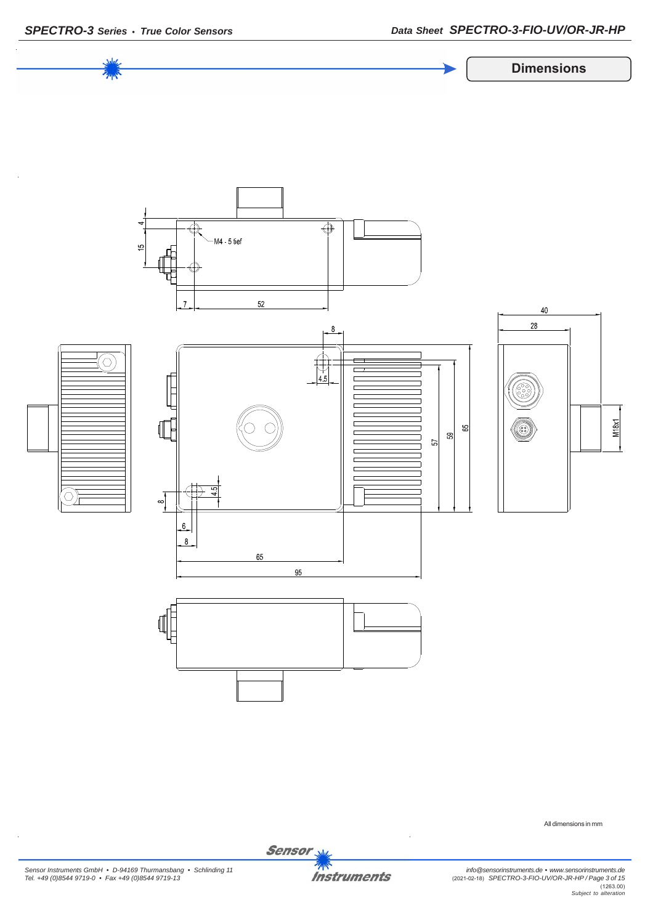

*SPECTRO-3 Series • True Color Sensors Data Sheet SPECTRO-3-FIO-UV/OR-JR-HP*



All dimensions in mm

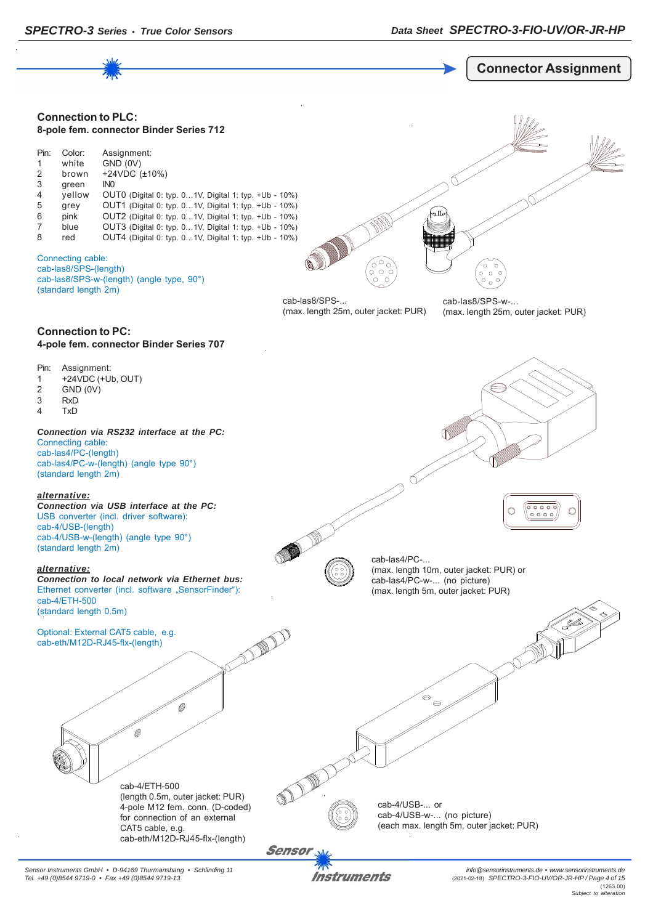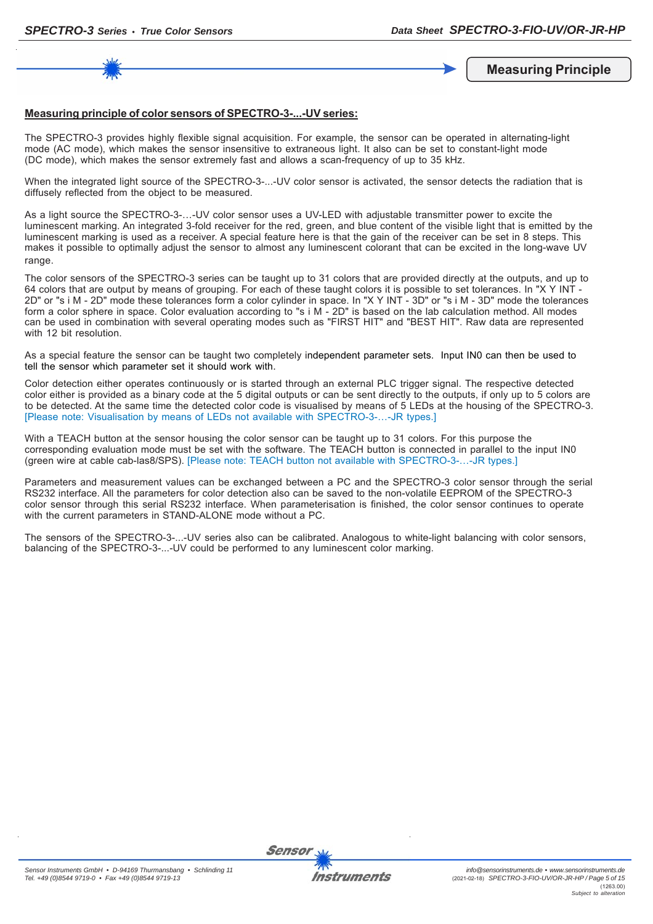**Measuring Principle**

#### **Measuring principle of color sensors of SPECTRO-3-...-UV series:**

The SPECTRO-3 provides highly flexible signal acquisition. For example, the sensor can be operated in alternating-light mode (AC mode), which makes the sensor insensitive to extraneous light. It also can be set to constant-light mode (DC mode), which makes the sensor extremely fast and allows a scan-frequency of up to 35 kHz.

When the integrated light source of the SPECTRO-3-...-UV color sensor is activated, the sensor detects the radiation that is diffusely reflected from the object to be measured.

As a light source the SPECTRO-3-…-UV color sensor uses a UV-LED with adjustable transmitter power to excite the luminescent marking. An integrated 3-fold receiver for the red, green, and blue content of the visible light that is emitted by the luminescent marking is used as a receiver. A special feature here is that the gain of the receiver can be set in 8 steps. This makes it possible to optimally adjust the sensor to almost any luminescent colorant that can be excited in the long-wave UV range.

The color sensors of the SPECTRO-3 series can be taught up to 31 colors that are provided directly at the outputs, and up to 64 colors that are output by means of grouping. For each of these taught colors it is possible to set tolerances. In "X Y INT - 2D" or "s i M - 2D" mode these tolerances form a color cylinder in space. In "X Y INT - 3D" or "s i M - 3D" mode the tolerances form a color sphere in space. Color evaluation according to "s i M - 2D" is based on the lab calculation method. All modes can be used in combination with several operating modes such as "FIRST HIT" and "BEST HIT". Raw data are represented with 12 bit resolution.

As a special feature the sensor can be taught two completely independent parameter sets. Input IN0 can then be used to tell the sensor which parameter set it should work with.

Color detection either operates continuously or is started through an external PLC trigger signal. The respective detected color either is provided as a binary code at the 5 digital outputs or can be sent directly to the outputs, if only up to 5 colors are to be detected. At the same time the detected color code is visualised by means of 5 LEDs at the housing of the SPECTRO-3. [Please note: Visualisation by means of LEDs not available with SPECTRO-3-…-JR types.]

With a TEACH button at the sensor housing the color sensor can be taught up to 31 colors. For this purpose the corresponding evaluation mode must be set with the software. The TEACH button is connected in parallel to the input IN0 (green wire at cable cab-las8/SPS). [Please note: TEACH button not available with SPECTRO-3-…-JR types.]

Parameters and measurement values can be exchanged between a PC and the SPECTRO-3 color sensor through the serial RS232 interface. All the parameters for color detection also can be saved to the non-volatile EEPROM of the SPECTRO-3 color sensor through this serial RS232 interface. When parameterisation is finished, the color sensor continues to operate with the current parameters in STAND-ALONE mode without a PC.

The sensors of the SPECTRO-3-...-UV series also can be calibrated. Analogous to white-light balancing with color sensors, balancing of the SPECTRO-3-...-UV could be performed to any luminescent color marking.

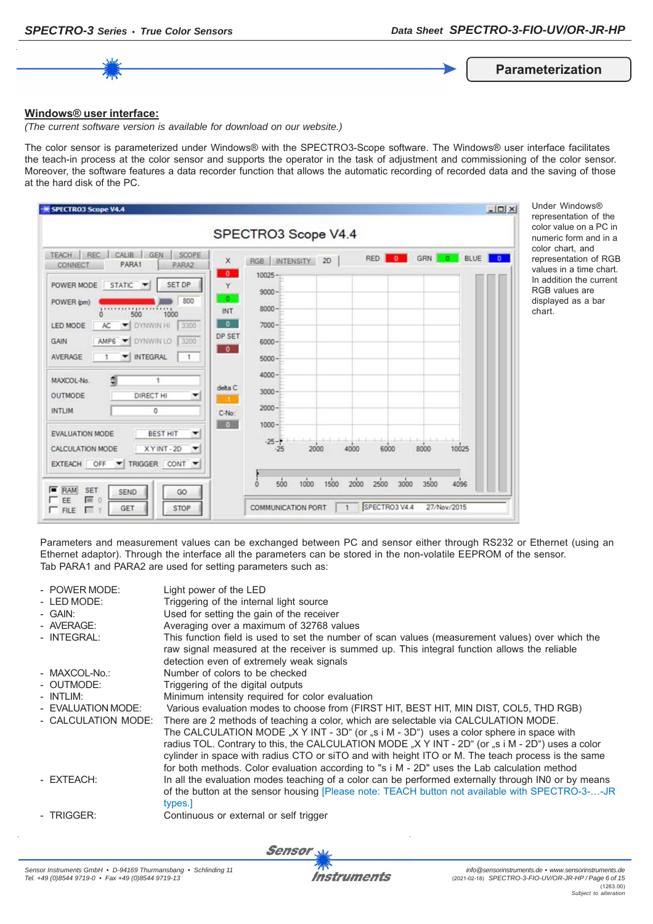**Parameterization**

#### **Windows® user interface:**

*(The current software version is available for download on our website.)*

The color sensor is parameterized under Windows® with the SPECTRO3-Scope software. The Windows® user interface facilitates the teach-in process at the color sensor and supports the operator in the task of adjustment and commissioning of the color sensor. Moreover, the software features a data recorder function that allows the automatic recording of recorded data and the saving of those at the hard disk of the PC.

| CALIB<br>TEACH REC<br>GEN<br>SCOPE<br>PARA1<br>PARA2<br>CONNECT | X                        | RGB INTENSITY 2D |      | RED          | GRN  <br>$\bullet$<br>$\overline{\phantom{0}}$ | BLUE  <br>$\overline{0}$ |
|-----------------------------------------------------------------|--------------------------|------------------|------|--------------|------------------------------------------------|--------------------------|
| STATIC <b>V</b><br>SET DP<br>POWER MODE                         | $\bullet$<br>Y           | $10025 -$        |      |              |                                                |                          |
| 800<br>POWER (pm)                                               | $\bullet$                | $9000 -$         |      |              |                                                |                          |
| 500<br>1000<br>n.                                               | INT                      | $8000 -$         |      |              |                                                |                          |
| DYNWIN HI<br>3300<br>LED MODE<br>AC.                            | $\overline{0}$           | $7000 -$         |      |              |                                                |                          |
| DYNWIN LO<br>AMP6<br>3200<br>GAIN<br>$\left  \cdot \right $     | DP SET                   | $6000 -$         |      |              |                                                |                          |
| <b>INTEGRAL</b><br>AVERAGE<br>$\mathbf{1}$<br>1<br>▼            | $\overline{\phantom{a}}$ | $5000 -$         |      |              |                                                |                          |
| MAXCOL-No.                                                      |                          | $4000 -$         |      |              |                                                |                          |
| OUTMODE<br>DIRECT HI<br>۰                                       | delta C                  | $3000 -$         |      |              |                                                |                          |
| INTLIM<br>0                                                     |                          | $2000 -$         |      |              |                                                |                          |
|                                                                 | C-No:<br>60              | $1000 -$         |      |              |                                                |                          |
| <b>BEST HIT</b><br><b>EVALUATION MODE</b>                       |                          | $-25 - 1$        |      |              |                                                |                          |
| XYINT-2D<br>CALCULATION MODE                                    |                          | $-25$            | 2000 | 4000<br>6000 | 8000                                           | 10025                    |
| EXTEACH OFF TRIGGER CONT                                        |                          |                  |      |              |                                                |                          |

Under Windows® epresentation of the color value on a PC in numeric form and in a color chart, and epresentation of RGB .<br>alues in a time chart. n addition the current **GB** values are isplayed as a bar  $\overline{\mathsf{hart.}}$ 

Parameters and measurement values can be exchanged between PC and sensor either through RS232 or Ethernet (using an Ethernet adaptor). Through the interface all the parameters can be stored in the non-volatile EEPROM of the sensor. Tab PARA1 and PARA2 are used for setting parameters such as:

| - POWER MODE:<br>- LED MODE:<br>- GAIN:<br>- AVERAGE:<br>- INTEGRAL: | Light power of the LED<br>Triggering of the internal light source<br>Used for setting the gain of the receiver<br>Averaging over a maximum of 32768 values<br>This function field is used to set the number of scan values (measurement values) over which the<br>raw signal measured at the receiver is summed up. This integral function allows the reliable<br>detection even of extremely weak signals                                                                                                 |
|----------------------------------------------------------------------|------------------------------------------------------------------------------------------------------------------------------------------------------------------------------------------------------------------------------------------------------------------------------------------------------------------------------------------------------------------------------------------------------------------------------------------------------------------------------------------------------------|
| - MAXCOL-No.:                                                        | Number of colors to be checked                                                                                                                                                                                                                                                                                                                                                                                                                                                                             |
| - OUTMODE:                                                           | Triggering of the digital outputs                                                                                                                                                                                                                                                                                                                                                                                                                                                                          |
| - INTLIM:                                                            | Minimum intensity required for color evaluation                                                                                                                                                                                                                                                                                                                                                                                                                                                            |
| - EVALUATION MODE:                                                   | Various evaluation modes to choose from (FIRST HIT, BEST HIT, MIN DIST, COL5, THD RGB)                                                                                                                                                                                                                                                                                                                                                                                                                     |
| - CALCULATION MODE:                                                  | There are 2 methods of teaching a color, which are selectable via CALCULATION MODE.<br>The CALCULATION MODE "X Y INT - $3D^{\circ}$ (or "s i M - $3D^{\circ}$ ) uses a color sphere in space with<br>radius TOL. Contrary to this, the CALCULATION MODE "X Y INT - 2D" (or "s i M - 2D") uses a color<br>cylinder in space with radius CTO or siTO and with height ITO or M. The teach process is the same<br>for both methods. Color evaluation according to "s i M - 2D" uses the Lab calculation method |
| - EXTEACH:                                                           | In all the evaluation modes teaching of a color can be performed externally through INO or by means<br>of the button at the sensor housing [Please note: TEACH button not available with SPECTRO-3--JR<br>types.                                                                                                                                                                                                                                                                                           |
| - TRIGGER:                                                           | Continuous or external or self trigger                                                                                                                                                                                                                                                                                                                                                                                                                                                                     |
|                                                                      |                                                                                                                                                                                                                                                                                                                                                                                                                                                                                                            |

Sensor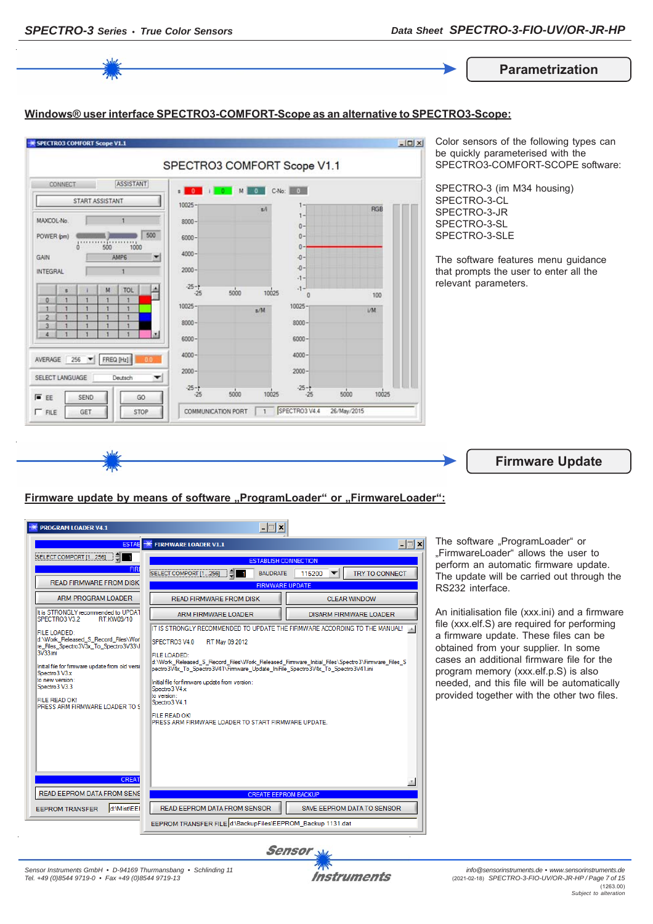

FILE LOADED: i∟t. co.v.u.co.<br>∵.Work\_Released\_S\_Record\_Files\Work\_Released\_Firmware\_Initial\_Files\Spectro3\Firmware\_Files\_S<br>ectro3V4x\_To\_Spectro3V41\Firmware\_Update\_IniFile\_Spectro3V4x\_To\_Spectro3V41.ini Initial file for fimware update from old versi Initial file for firmware undate from version: Spectro 3 V4 x to versio FILE READ OK!<br>PRESS ARM FIRMWARE LOADER TO \$ to version.<br>Spectro3 V4.1 FILE READ OK!<br>PRESS ARM FIRMWARE LOADER TO START FIRMWARE UPDATE.

obtained from your supplier. In some cases an additional firmware file for the program memory (xxx.elf.p.S) is also needed, and this file will be automatically provided together with the other two files.



SAVE EEPROM DATA TO SENSOR

d:\Mist\EEI

READ EEPROM DATA FROM SENSOR

EEPROM TRANSFER FILE d:\BackupFiles\EEPROM\_Backup 1131.dat

Spectro3 V3 x to new ye

Spectro3 V3.3

READ EEPROM DATA FROM SENS

FEPROM TRANSFER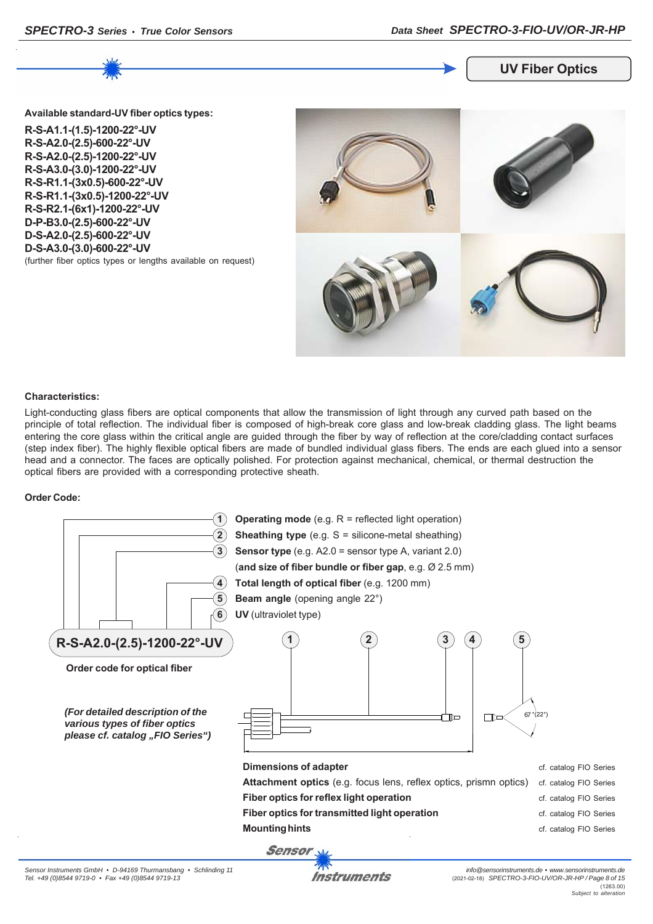

#### **UV Fiber Optics**

**Available standard-UV fiber optics types:**

**R-S-A1.1-(1.5)-1200-22°-UV R-S-A2.0-(2.5)-600-22°-UV R-S-A2.0-(2.5)-1200-22°-UV R-S-A3.0-(3.0)-1200-22°-UV R-S-R1.1-(3x0.5)-600-22°-UV R-S-R1.1-(3x0.5)-1200-22°-UV R-S-R2.1-(6x1)-1200-22°-UV D-P-B3.0-(2.5)-600-22°-UV D-S-A2.0-(2.5)-600-22°-UV D-S-A3.0-(3.0)-600-22°-UV** (further fiber optics types or lengths available on request)



#### **Characteristics:**

Light-conducting glass fibers are optical components that allow the transmission of light through any curved path based on the principle of total reflection. The individual fiber is composed of high-break core glass and low-break cladding glass. The light beams entering the core glass within the critical angle are guided through the fiber by way of reflection at the core/cladding contact surfaces (step index fiber). The highly flexible optical fibers are made of bundled individual glass fibers. The ends are each glued into a sensor head and a connector. The faces are optically polished. For protection against mechanical, chemical, or thermal destruction the optical fibers are provided with a corresponding protective sheath.

#### **Order Code:**



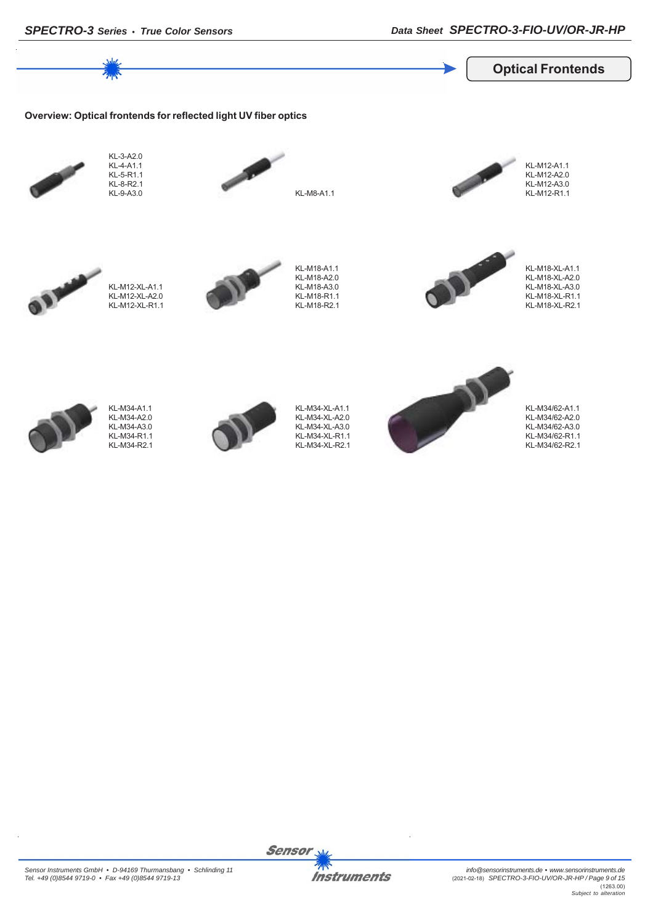

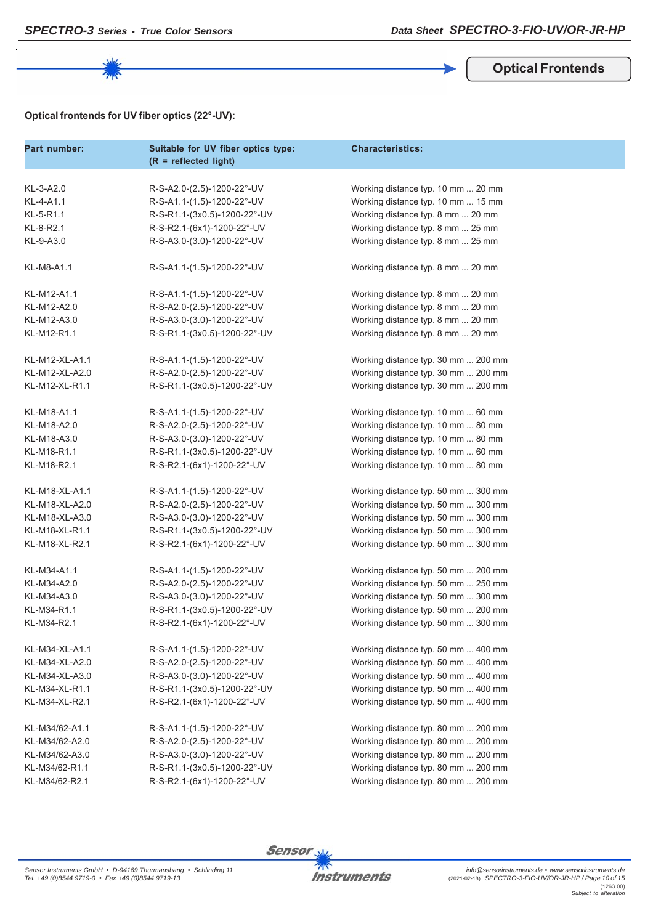

#### **Optical Frontends**

### **Optical frontends for UV fiber optics (22°-UV):**

| Part number:   | Suitable for UV fiber optics type:<br>$(R = reflected light)$ | <b>Characteristics:</b>             |
|----------------|---------------------------------------------------------------|-------------------------------------|
| KL-3-A2.0      |                                                               |                                     |
|                | R-S-A2.0-(2.5)-1200-22°-UV                                    | Working distance typ. 10 mm  20 mm  |
| KL-4-A1.1      | R-S-A1.1-(1.5)-1200-22°-UV                                    | Working distance typ. 10 mm  15 mm  |
| KL-5-R1.1      | R-S-R1.1-(3x0.5)-1200-22°-UV                                  | Working distance typ. 8 mm  20 mm   |
| KL-8-R2.1      | R-S-R2.1-(6x1)-1200-22°-UV                                    | Working distance typ. 8 mm  25 mm   |
| KL-9-A3.0      | R-S-A3.0-(3.0)-1200-22°-UV                                    | Working distance typ. 8 mm  25 mm   |
| KL-M8-A1.1     | R-S-A1.1-(1.5)-1200-22°-UV                                    | Working distance typ. 8 mm  20 mm   |
| KL-M12-A1.1    | R-S-A1.1-(1.5)-1200-22°-UV                                    | Working distance typ. 8 mm  20 mm   |
| KL-M12-A2.0    | R-S-A2.0-(2.5)-1200-22°-UV                                    | Working distance typ. 8 mm  20 mm   |
| KL-M12-A3.0    | R-S-A3.0-(3.0)-1200-22°-UV                                    | Working distance typ. 8 mm  20 mm   |
| KL-M12-R1.1    | R-S-R1.1-(3x0.5)-1200-22°-UV                                  | Working distance typ. 8 mm  20 mm   |
| KL-M12-XL-A1.1 | R-S-A1.1-(1.5)-1200-22°-UV                                    | Working distance typ. 30 mm  200 mm |
| KL-M12-XL-A2.0 | R-S-A2.0-(2.5)-1200-22°-UV                                    | Working distance typ. 30 mm  200 mm |
| KL-M12-XL-R1.1 | R-S-R1.1-(3x0.5)-1200-22°-UV                                  | Working distance typ. 30 mm  200 mm |
| KL-M18-A1.1    | R-S-A1.1-(1.5)-1200-22°-UV                                    | Working distance typ. 10 mm  60 mm  |
| KL-M18-A2.0    | R-S-A2.0-(2.5)-1200-22°-UV                                    | Working distance typ. 10 mm  80 mm  |
| KL-M18-A3.0    | R-S-A3.0-(3.0)-1200-22°-UV                                    | Working distance typ. 10 mm  80 mm  |
| KL-M18-R1.1    | R-S-R1.1-(3x0.5)-1200-22°-UV                                  | Working distance typ. 10 mm  60 mm  |
| KL-M18-R2.1    | R-S-R2.1-(6x1)-1200-22°-UV                                    | Working distance typ. 10 mm  80 mm  |
| KL-M18-XL-A1.1 | R-S-A1.1-(1.5)-1200-22°-UV                                    | Working distance typ. 50 mm  300 mm |
| KL-M18-XL-A2.0 | R-S-A2.0-(2.5)-1200-22°-UV                                    | Working distance typ. 50 mm  300 mm |
| KL-M18-XL-A3.0 | R-S-A3.0-(3.0)-1200-22°-UV                                    | Working distance typ. 50 mm  300 mm |
| KL-M18-XL-R1.1 | R-S-R1.1-(3x0.5)-1200-22°-UV                                  | Working distance typ. 50 mm  300 mm |
| KL-M18-XL-R2.1 | R-S-R2.1-(6x1)-1200-22°-UV                                    | Working distance typ. 50 mm  300 mm |
| KL-M34-A1.1    | R-S-A1.1-(1.5)-1200-22°-UV                                    | Working distance typ. 50 mm  200 mm |
| KL-M34-A2.0    | R-S-A2.0-(2.5)-1200-22°-UV                                    | Working distance typ. 50 mm  250 mm |
| KL-M34-A3.0    | R-S-A3.0-(3.0)-1200-22°-UV                                    | Working distance typ. 50 mm  300 mm |
| KL-M34-R1.1    | R-S-R1.1-(3x0.5)-1200-22°-UV                                  | Working distance typ. 50 mm  200 mm |
| KL-M34-R2.1    | R-S-R2.1-(6x1)-1200-22°-UV                                    | Working distance typ. 50 mm  300 mm |
| KL-M34-XL-A1.1 | R-S-A1.1-(1.5)-1200-22°-UV                                    | Working distance typ. 50 mm  400 mm |
| KL-M34-XL-A2.0 | R-S-A2.0-(2.5)-1200-22°-UV                                    | Working distance typ. 50 mm  400 mm |
| KL-M34-XL-A3.0 | R-S-A3.0-(3.0)-1200-22°-UV                                    | Working distance typ. 50 mm  400 mm |
| KL-M34-XL-R1.1 | R-S-R1.1-(3x0.5)-1200-22°-UV                                  | Working distance typ. 50 mm  400 mm |
| KL-M34-XL-R2.1 | R-S-R2.1-(6x1)-1200-22°-UV                                    | Working distance typ. 50 mm  400 mm |
| KL-M34/62-A1.1 | R-S-A1.1-(1.5)-1200-22°-UV                                    | Working distance typ. 80 mm  200 mm |
| KL-M34/62-A2.0 | R-S-A2.0-(2.5)-1200-22°-UV                                    | Working distance typ. 80 mm  200 mm |
| KL-M34/62-A3.0 | R-S-A3.0-(3.0)-1200-22°-UV                                    | Working distance typ. 80 mm  200 mm |
| KL-M34/62-R1.1 | R-S-R1.1-(3x0.5)-1200-22°-UV                                  | Working distance typ. 80 mm  200 mm |
| KL-M34/62-R2.1 | R-S-R2.1-(6x1)-1200-22°-UV                                    | Working distance typ. 80 mm  200 mm |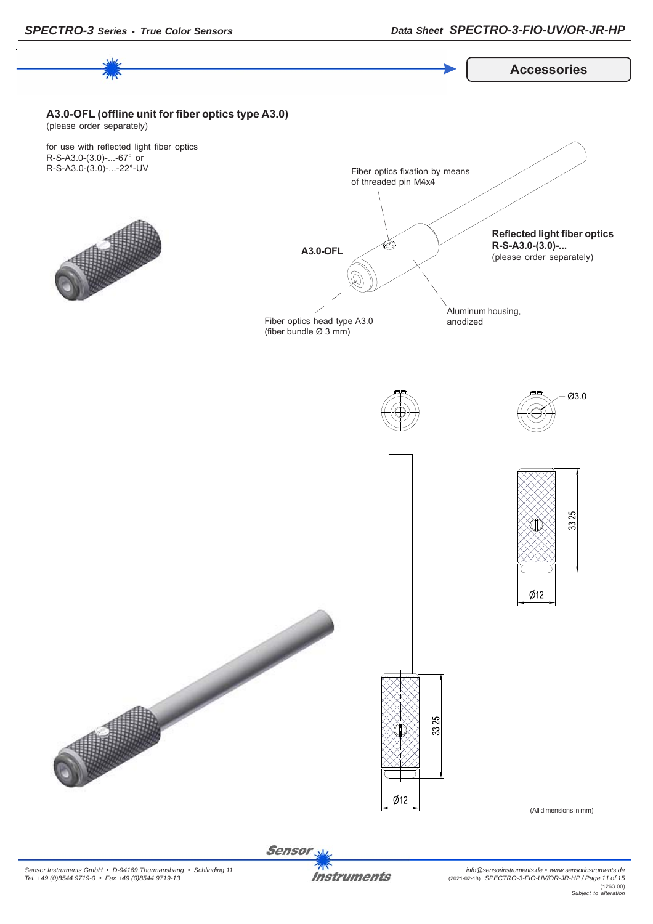

**Sensor**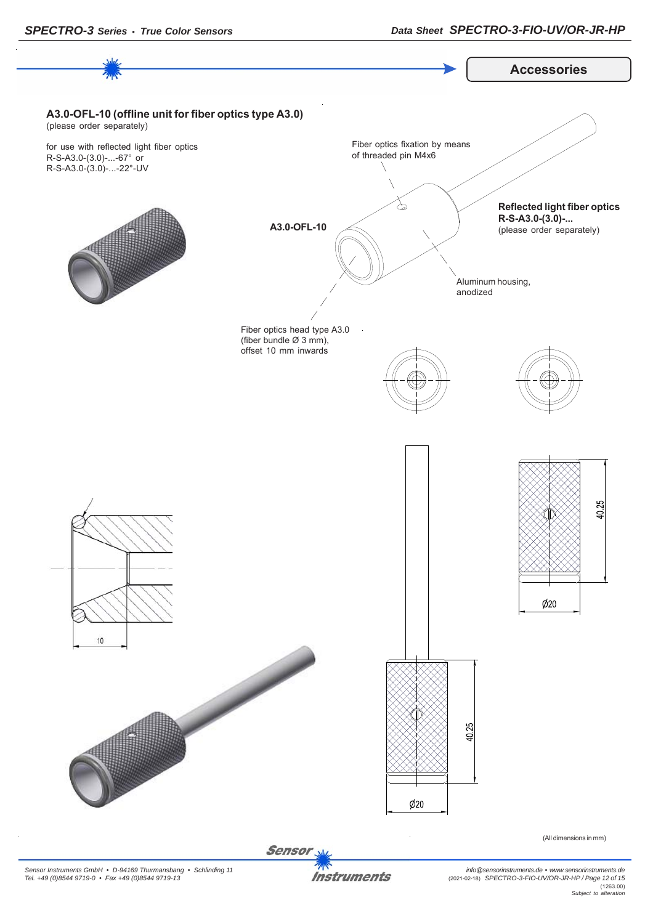

*Sensor Instruments GmbH • D-94169 Thurmansbang • Schlinding 11 Tel. +49 (0)8544 9719-0 • Fax +49 (0)8544 9719-13*

**Instruments** 

*info@sensorinstruments.de • www.sensorinstruments.de* (2021-02-18) *SPECTRO-3-FIO-UV/OR-JR-HP / Page 12 of 15* (1263.00) *Subject to alteration*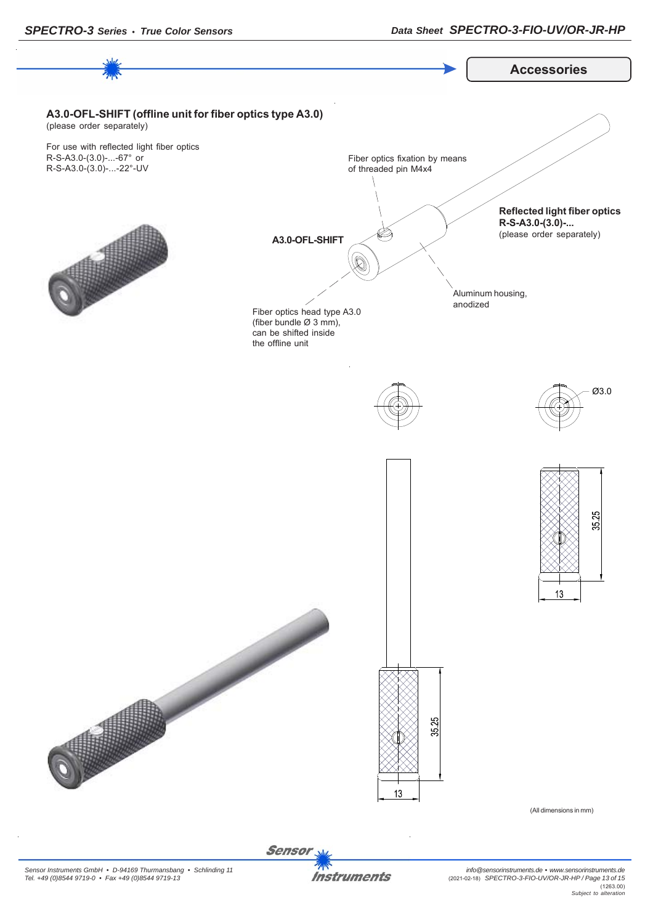

**Sensor Instruments**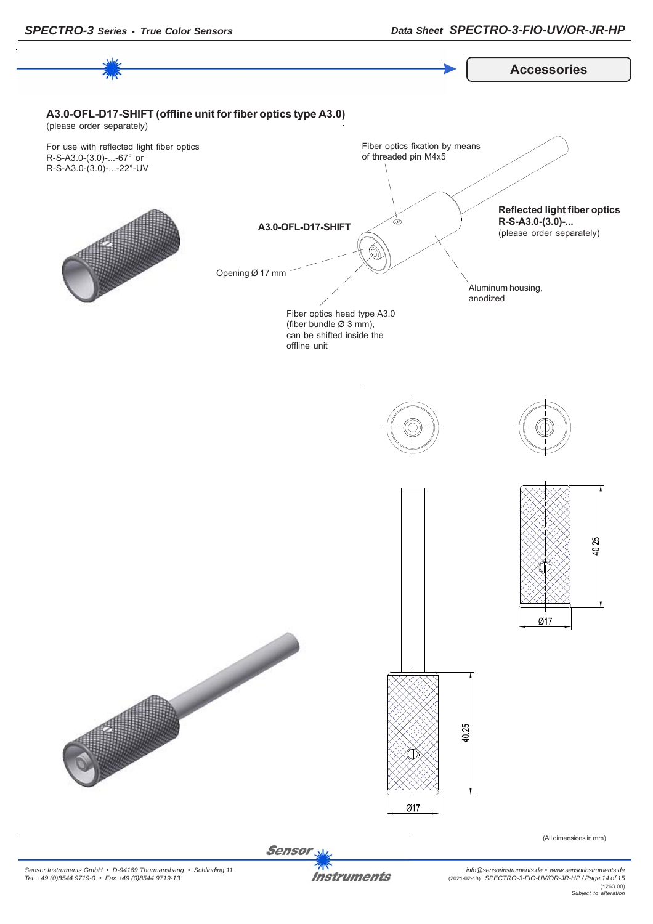

*Sensor Instruments GmbH • D-94169 Thurmansbang • Schlinding 11 Tel. +49 (0)8544 9719-0 • Fax +49 (0)8544 9719-13*

**Instruments**